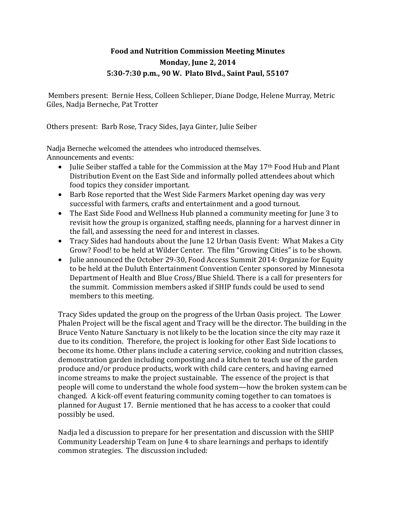## **Food and Nutrition Commission Meeting Minutes Monday, June 2, 2014 5:30-7:30 p.m., 90 W. Plato Blvd., Saint Paul, 55107**

 Members present: Bernie Hess, Colleen Schlieper, Diane Dodge, Helene Murray, Metric Giles, Nadja Berneche, Pat Trotter

Others present: Barb Rose, Tracy Sides, Jaya Ginter, Julie Seiber

Nadja Berneche welcomed the attendees who introduced themselves. Announcements and events:

- Julie Seiber staffed a table for the Commission at the May 17<sup>th</sup> Food Hub and Plant Distribution Event on the East Side and informally polled attendees about which food topics they consider important.
- Barb Rose reported that the West Side Farmers Market opening day was very successful with farmers, crafts and entertainment and a good turnout.
- The East Side Food and Wellness Hub planned a community meeting for June 3 to revisit how the group is organized, staffing needs, planning for a harvest dinner in the fall, and assessing the need for and interest in classes.
- Tracy Sides had handouts about the June 12 Urban Oasis Event: What Makes a City Grow? Food! to be held at Wilder Center. The film "Growing Cities" is to be shown.
- Julie announced the October 29-30, Food Access Summit 2014: Organize for Equity to be held at the Duluth Entertainment Convention Center sponsored by Minnesota Department of Health and Blue Cross/Blue Shield. There is a call for presenters for the summit. Commission members asked if SHIP funds could be used to send members to this meeting.

Tracy Sides updated the group on the progress of the Urban Oasis project. The Lower Phalen Project will be the fiscal agent and Tracy will be the director. The building in the Bruce Vento Nature Sanctuary is not likely to be the location since the city may raze it due to its condition. Therefore, the project is looking for other East Side locations to become its home. Other plans include a catering service, cooking and nutrition classes, demonstration garden including composting and a kitchen to teach use of the garden produce and/or produce products, work with child care centers, and having earned income streams to make the project sustainable. The essence of the project is that people will come to understand the whole food system—how the broken system can be changed. A kick-off event featuring community coming together to can tomatoes is planned for August 17. Bernie mentioned that he has access to a cooker that could possibly be used.

Nadja led a discussion to prepare for her presentation and discussion with the SHIP Community Leadership Team on June 4 to share learnings and perhaps to identify common strategies. The discussion included: